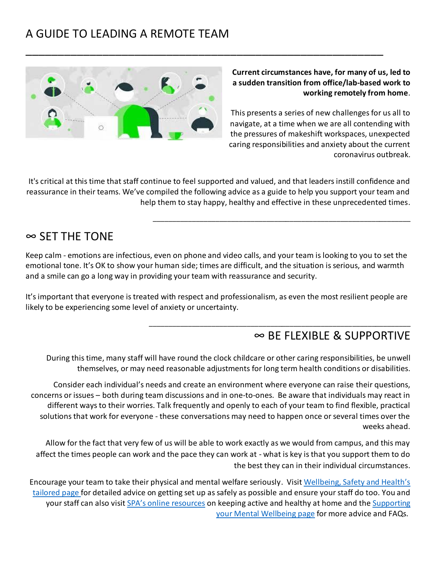# A GUIDE TO LEADING A REMOTE TEAM



**Current circumstances have, for many of us, led to a sudden transition from office/lab-based work to working remotely from home**.

This presents a series of new challenges for us all to navigate, at a time when we are all contending with the pressures of makeshift workspaces, unexpected caring responsibilities and anxiety about the current coronavirus outbreak.

\_\_\_\_\_\_\_\_\_\_\_\_\_\_\_\_\_\_\_\_\_\_\_\_\_\_\_\_\_\_\_\_\_\_\_\_\_\_\_\_\_\_\_\_\_\_\_\_\_\_\_\_\_\_\_\_\_\_\_\_\_\_\_\_\_\_

\_\_\_\_\_\_\_\_\_\_\_\_\_\_\_\_\_\_\_\_\_\_\_\_\_\_\_\_\_\_\_\_\_\_\_\_\_\_\_\_\_\_\_\_\_\_\_\_\_\_\_\_\_\_\_\_\_\_\_\_\_\_\_\_\_\_\_

It's critical at this time that staff continue to feel supported and valued, and that leaders instill confidence and reassurance in their teams. We've compiled the following advice as a guide to help you support your team and help them to stay happy, healthy and effective in these unprecedented times.

\_\_\_\_\_\_\_\_\_\_\_\_\_\_\_\_\_\_\_\_\_\_\_\_\_\_\_\_\_\_\_\_\_\_\_\_\_\_\_\_\_\_\_\_\_\_\_\_\_\_\_\_\_\_\_\_

#### ∞ SET THE TONE

Keep calm - emotions are infectious, even on phone and video calls, and your team is looking to you to set the emotional tone. It's OK to show your human side; times are difficult, and the situation is serious, and warmth and a smile can go a long way in providing your team with reassurance and security.

It's important that everyone is treated with respect and professionalism, as even the most resilient people are likely to be experiencing some level of anxiety or uncertainty.

#### ∞ BE FLEXIBLE & SUPPORTIVE

During this time, many staff will have round the clock childcare or other caring responsibilities, be unwell themselves, or may need reasonable adjustments for long term health conditions or disabilities.

Consider each individual's needs and create an environment where everyone can raise their questions, concerns or issues – both during team discussions and in one-to-ones. Be aware that individuals may react in different ways to their worries. Talk frequently and openly to each of your team to find flexible, practical solutions that work for everyone - these conversations may need to happen once or several times over the weeks ahead.

Allow for the fact that very few of us will be able to work exactly as we would from campus, and this may affect the times people can work and the pace they can work at - what is key is that you support them to do the best they can in their individual circumstances.

Encourage your team to take their physical and mental welfare seriously. Visit [Wellbeing, Safety and Health's](http://wsh.leeds.ac.uk/dse-at-home)  [tailored page](http://wsh.leeds.ac.uk/dse-at-home) for detailed advice on getting set up as safely as possible and ensure your staff do too. You and your staff can also visit [SPA's online resources](https://sport.leeds.ac.uk/the-edge/yourhomeyourmove/) on keeping active and healthy at home and the [Supporting](http://wsh.leeds.ac.uk/Coronavirus-Supporting-Your-Mental-Wellbeing)  your Mental [Wellbeing](http://wsh.leeds.ac.uk/Coronavirus-Supporting-Your-Mental-Wellbeing) page for more advice and FAQs.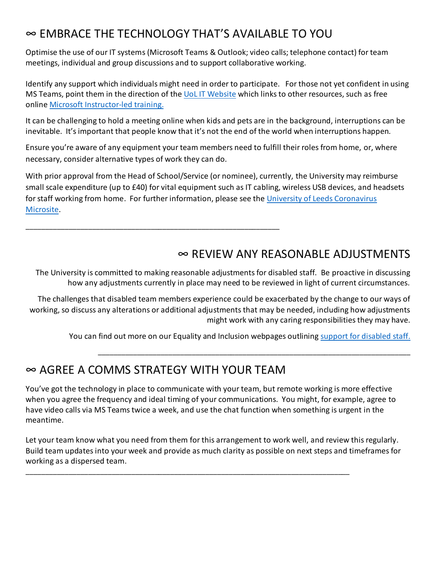# ∞ EMBRACE THE TECHNOLOGY THAT'S AVAILABLE TO YOU

Optimise the use of our IT systems (Microsoft Teams & Outlook; video calls; telephone contact) for team meetings, individual and group discussions and to support collaborative working.

Identify any support which individuals might need in order to participate. For those not yet confident in using MS Teams, point them in the direction of the UoL IT [Website](https://it.leeds.ac.uk/it?id=kb_article&sysparm_article=KB0012997) which links to other resources, such as free online Microsoft [Instructor-led training.](https://docs.microsoft.com/en-us/microsoftteams/instructor-led-training-teams-landing-page#pivot=home&panel=home-all)

It can be challenging to hold a meeting online when kids and pets are in the background, interruptions can be inevitable. It's important that people know that it's not the end of the world when interruptions happen.

Ensure you're aware of any equipment your team members need to fulfill their roles from home, or, where necessary, consider alternative types of work they can do.

With prior approval from the Head of School/Service (or nominee), currently, the University may reimburse small scale expenditure (up to £40) for vital equipment such as IT cabling, wireless USB devices, and headsets for staff working from home. For further information, please see the [University of Leeds Coronavirus](https://coronavirus.leeds.ac.uk/staff-advice/working-from-home/#ways-working)  [Microsite.](https://coronavirus.leeds.ac.uk/staff-advice/working-from-home/#ways-working)

#### ∞ REVIEW ANY REASONABLE ADJUSTMENTS

The University is committed to making reasonable adjustments for disabled staff. Be proactive in discussing how any adjustments currently in place may need to be reviewed in light of current circumstances.

The challenges that disabled team members experience could be exacerbated by the change to our ways of working, so discuss any alterations or additional adjustments that may be needed, including how adjustments might work with any caring responsibilities they may have.

You can find out more on our Equality and Inclusion webpages outlining [support for disabled staff.](https://equality.leeds.ac.uk/support-and-resources/support-for-disabled-staff/)

\_\_\_\_\_\_\_\_\_\_\_\_\_\_\_\_\_\_\_\_\_\_\_\_\_\_\_\_\_\_\_\_\_\_\_\_\_\_\_\_\_\_\_\_\_\_\_\_\_\_\_\_\_\_\_\_\_\_\_\_\_\_\_\_\_\_\_\_\_\_\_\_\_\_\_\_\_\_\_\_

## ∞ AGREE A COMMS STRATEGY WITH YOUR TEAM

\_\_\_\_\_\_\_\_\_\_\_\_\_\_\_\_\_\_\_\_\_\_\_\_\_\_\_\_\_\_\_\_\_\_\_\_\_\_\_\_\_\_\_\_\_\_\_\_\_\_\_\_\_\_\_\_\_\_\_\_\_\_\_\_\_

You've got the technology in place to communicate with your team, but remote working is more effective when you agree the frequency and ideal timing of your communications. You might, for example, agree to have video calls via MS Teams twice a week, and use the chat function when something is urgent in the meantime.

Let your team know what you need from them for this arrangement to work well, and review this regularly. Build team updates into your week and provide as much clarity as possible on next steps and timeframes for working as a dispersed team.

\_\_\_\_\_\_\_\_\_\_\_\_\_\_\_\_\_\_\_\_\_\_\_\_\_\_\_\_\_\_\_\_\_\_\_\_\_\_\_\_\_\_\_\_\_\_\_\_\_\_\_\_\_\_\_\_\_\_\_\_\_\_\_\_\_\_\_\_\_\_\_\_\_\_\_\_\_\_\_\_\_\_\_